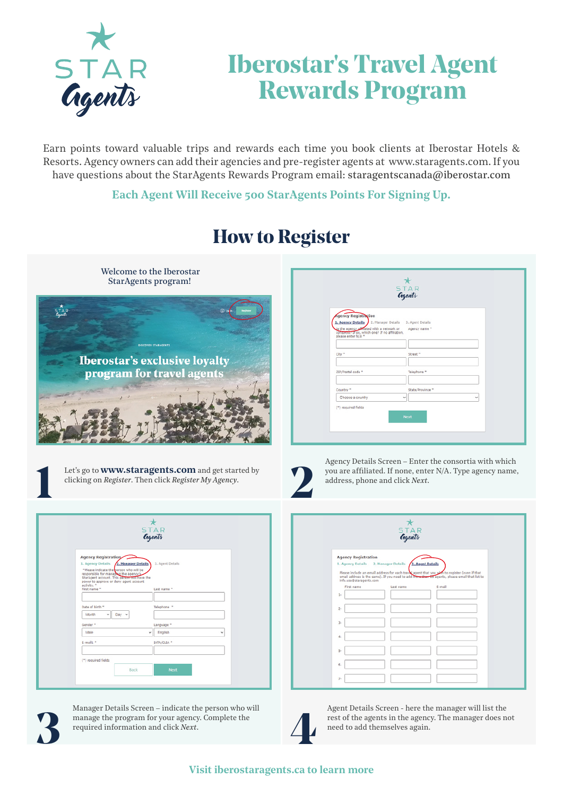

## **Iberostar's Travel Agent Rewards Program**

Earn points toward valuable trips and rewards each time you book clients at Iberostar Hotels & Resorts. Agency owners can add their agencies and pre-register agents at www.staragents.com. If you have questions about the StarAgents Rewards Program email: staragentscanada@iberostar.com

**Each Agent Will Receive 500 StarAgents Points For Signing Up.**



## **How to Register**